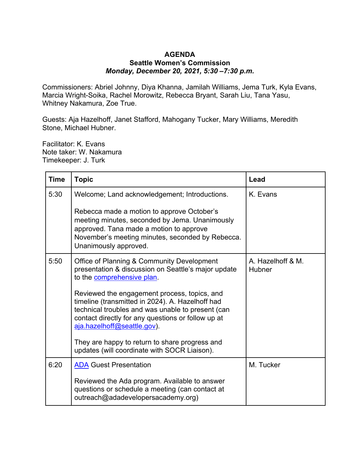## **AGENDA Seattle Women's Commission** *Monday, December 20, 2021, 5:30 –7:30 p.m.*

Commissioners: Abriel Johnny, Diya Khanna, Jamilah Williams, Jema Turk, Kyla Evans, Marcia Wright-Soika, Rachel Morowitz, Rebecca Bryant, Sarah Liu, Tana Yasu, Whitney Nakamura, Zoe True.

Guests: Aja Hazelhoff, Janet Stafford, Mahogany Tucker, Mary Williams, Meredith Stone, Michael Hubner.

Facilitator: K. Evans Note taker: W. Nakamura Timekeeper: J. Turk

| <b>Time</b> | <b>Topic</b>                                                                                                                                                                                                                               | Lead                               |
|-------------|--------------------------------------------------------------------------------------------------------------------------------------------------------------------------------------------------------------------------------------------|------------------------------------|
| 5:30        | Welcome; Land acknowledgement; Introductions.                                                                                                                                                                                              | K. Evans                           |
|             | Rebecca made a motion to approve October's<br>meeting minutes, seconded by Jema. Unanimously<br>approved. Tana made a motion to approve<br>November's meeting minutes, seconded by Rebecca.<br>Unanimously approved.                       |                                    |
| 5:50        | Office of Planning & Community Development<br>presentation & discussion on Seattle's major update<br>to the comprehensive plan.                                                                                                            | A. Hazelhoff & M.<br><b>Hubner</b> |
|             | Reviewed the engagement process, topics, and<br>timeline (transmitted in 2024). A. Hazelhoff had<br>technical troubles and was unable to present (can<br>contact directly for any questions or follow up at<br>aja.hazelhoff@seattle.gov). |                                    |
|             | They are happy to return to share progress and<br>updates (will coordinate with SOCR Liaison).                                                                                                                                             |                                    |
| 6:20        | <b>ADA Guest Presentation</b>                                                                                                                                                                                                              | M. Tucker                          |
|             | Reviewed the Ada program. Available to answer<br>questions or schedule a meeting (can contact at<br>outreach@adadevelopersacademy.org)                                                                                                     |                                    |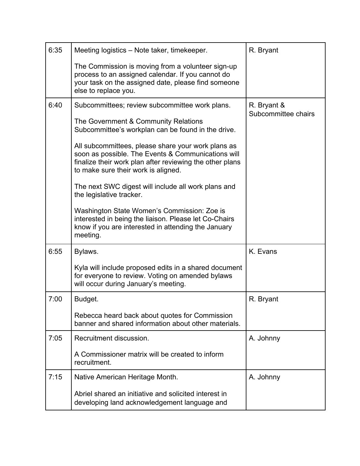| 6:35 | Meeting logistics - Note taker, timekeeper.                                                                                                                                                                 | R. Bryant           |
|------|-------------------------------------------------------------------------------------------------------------------------------------------------------------------------------------------------------------|---------------------|
|      | The Commission is moving from a volunteer sign-up<br>process to an assigned calendar. If you cannot do<br>your task on the assigned date, please find someone<br>else to replace you.                       |                     |
| 6:40 | Subcommittees; review subcommittee work plans.                                                                                                                                                              | R. Bryant &         |
|      | The Government & Community Relations<br>Subcommittee's workplan can be found in the drive.                                                                                                                  | Subcommittee chairs |
|      | All subcommittees, please share your work plans as<br>soon as possible. The Events & Communications will<br>finalize their work plan after reviewing the other plans<br>to make sure their work is aligned. |                     |
|      | The next SWC digest will include all work plans and<br>the legislative tracker.                                                                                                                             |                     |
|      | Washington State Women's Commission: Zoe is<br>interested in being the liaison. Please let Co-Chairs<br>know if you are interested in attending the January<br>meeting.                                     |                     |
| 6:55 | Bylaws.                                                                                                                                                                                                     | K. Evans            |
|      | Kyla will include proposed edits in a shared document<br>for everyone to review. Voting on amended bylaws<br>will occur during January's meeting.                                                           |                     |
| 7:00 | Budget.                                                                                                                                                                                                     | R. Bryant           |
|      | Rebecca heard back about quotes for Commission<br>banner and shared information about other materials.                                                                                                      |                     |
| 7:05 | Recruitment discussion.                                                                                                                                                                                     | A. Johnny           |
|      | A Commissioner matrix will be created to inform<br>recruitment.                                                                                                                                             |                     |
| 7:15 | Native American Heritage Month.                                                                                                                                                                             | A. Johnny           |
|      | Abriel shared an initiative and solicited interest in<br>developing land acknowledgement language and                                                                                                       |                     |